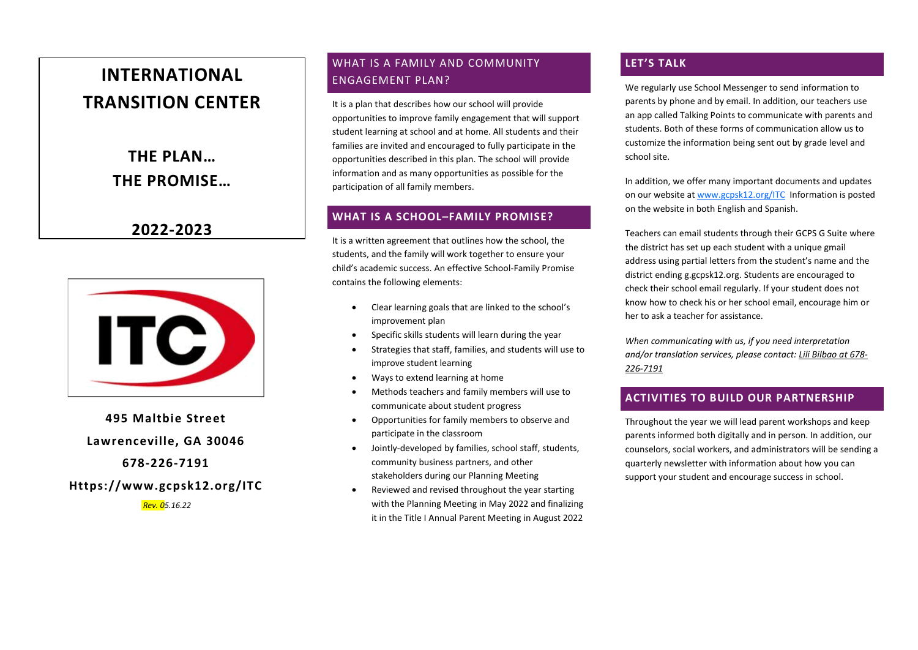# **INTERNATIONAL TRANSITION CENTER**

**THE PLAN… THE PROMISE…**

**2022-2023**



**495 Maltbie Street Lawrenceville, GA 30046 678-226-7191**

**Https://www.gcpsk12.org/ITC**

*Rev. 05.16.22*

# WHAT IS A FAMILY AND COMMUNITY ENGAGEMENT PLAN?

It is a plan that describes how our school will provide opportunities to improve family engagement that will support student learning at school and at home. All students and their families are invited and encouraged to fully participate in the opportunities described in this plan. The school will provide information and as many opportunities as possible for the participation of all family members.

## **WHAT IS A SCHOOL–FAMILY PROMISE?**

It is a written agreement that outlines how the school, the students, and the family will work together to ensure your child's academic success. An effective School-Family Promise contains the following elements:

- Clear learning goals that are linked to the school's improvement plan
- Specific skills students will learn during the year
- Strategies that staff, families, and students will use to improve student learning
- Ways to extend learning at home
- Methods teachers and family members will use to communicate about student progress
- Opportunities for family members to observe and participate in the classroom
- Jointly-developed by families, school staff, students, community business partners, and other stakeholders during our Planning Meeting
- Reviewed and revised throughout the year starting with the Planning Meeting in May 2022 and finalizing it in the Title I Annual Parent Meeting in August 2022

# **LET'S TALK**

We regularly use School Messenger to send information to parents by phone and by email. In addition, our teachers use an app called Talking Points to communicate with parents and students. Both of these forms of communication allow us to customize the information being sent out by grade level and school site.

In addition, we offer many important documents and updates on our website a[t www.gcpsk12.org/ITC](http://www.gcpsk12.org/ITC) Information is posted on the website in both English and Spanish.

Teachers can email students through their GCPS G Suite where the district has set up each student with a unique gmail address using partial letters from the student's name and the district ending g.gcpsk12.org. Students are encouraged to check their school email regularly. If your student does not know how to check his or her school email, encourage him or her to ask a teacher for assistance.

*When communicating with us, if you need interpretation and/or translation services, please contact: Lili Bilbao at 678- 226-7191*

# **ACTIVITIES TO BUILD OUR PARTNERSHIP**

Throughout the year we will lead parent workshops and keep parents informed both digitally and in person. In addition, our counselors, social workers, and administrators will be sending a quarterly newsletter with information about how you can support your student and encourage success in school.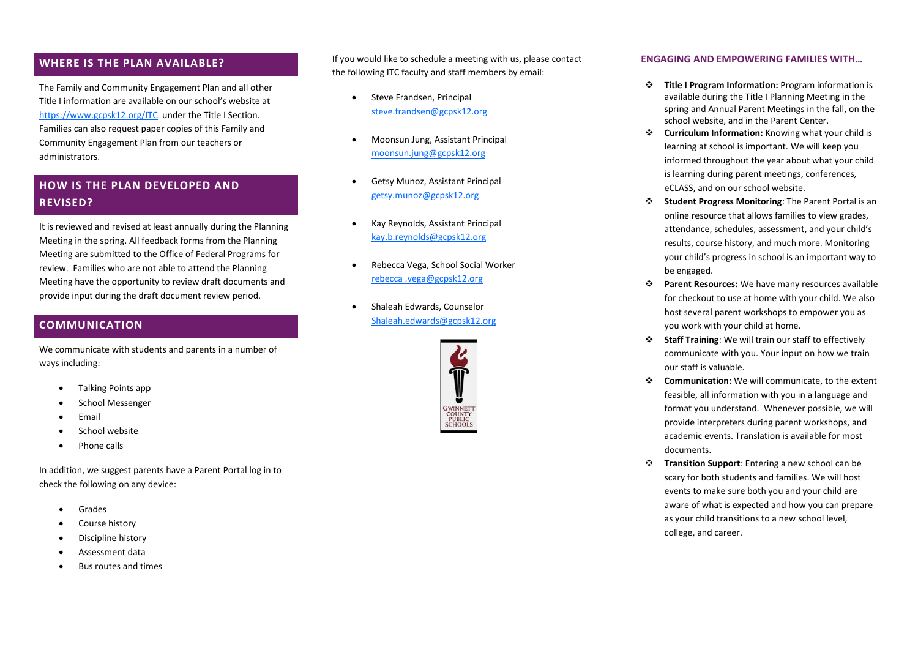#### **WHERE IS THE PLAN AVAILABLE?**

The Family and Community Engagement Plan and all other Title I information are available on our school's website at <https://www.gcpsk12.org/ITC>under the Title I Section. Families can also request paper copies of this Family and Community Engagement Plan from our teachers or administrators.

# **HOW IS THE PLAN DEVELOPED AND REVISED?**

It is reviewed and revised at least annually during the Planning Meeting in the spring. All feedback forms from the Planning Meeting are submitted to the Office of Federal Programs for review. Families who are not able to attend the Planning Meeting have the opportunity to review draft documents and provide input during the draft document review period.

# **COMMUNICATION**

We communicate with students and parents in a number of ways including:

- Talking Points app
- School Messenger
- **Email**
- School website
- Phone calls

In addition, we suggest parents have a Parent Portal log in to check the following on any device:

- Grades
- Course history
- Discipline history
- Assessment data
- Bus routes and times

If you would like to schedule a meeting with us, please contact the following ITC faculty and staff members by email:

- Steve Frandsen, Principal [steve.frandsen@gcpsk12.org](mailto:steve.frandsen@gcpsk12.org)
- Moonsun Jung, Assistant Principal [moonsun.jung@gcpsk12.org](mailto:moonsun.jung@gcpsk12.org)
- Getsy Munoz, Assistant Principal [getsy.munoz@gcpsk12.org](mailto:getsy.munoz@gcpsk12.org)
- Kay Reynolds, Assistant Principal [kay.b.reynolds@gcpsk12.org](mailto:kay.b.reynolds@gcpsk12.org)
- Rebecca Vega, School Social Worker [rebecca .vega@gcpsk12.org](mailto:rebecca%20.vega@gcpsk12.org)
- Shaleah Edwards, Counselor [Shaleah.edwards@gcpsk12.org](mailto:Shaleah.edwards@gcpsk12.org)



#### **ENGAGING AND EMPOWERING FAMILIES WITH…**

- ❖ **Title I Program Information:** Program information is available during the Title I Planning Meeting in the spring and Annual Parent Meetings in the fall, on the school website, and in the Parent Center.
- ❖ **Curriculum Information:** Knowing what your child is learning at school is important. We will keep you informed throughout the year about what your child is learning during parent meetings, conferences, eCLASS, and on our school website.
- ❖ **Student Progress Monitoring**: The Parent Portal is an online resource that allows families to view grades, attendance, schedules, assessment, and your child's results, course history, and much more. Monitoring your child's progress in school is an important way to be engaged.
- ❖ **Parent Resources:** We have many resources available for checkout to use at home with your child. We also host several parent workshops to empower you as you work with your child at home.
- ❖ **Staff Training**: We will train our staff to effectively communicate with you. Your input on how we train our staff is valuable.
- ❖ **Communication**: We will communicate, to the extent feasible, all information with you in a language and format you understand. Whenever possible, we will provide interpreters during parent workshops, and academic events. Translation is available for most documents.
- ❖ **Transition Support**: Entering a new school can be scary for both students and families. We will host events to make sure both you and your child are aware of what is expected and how you can prepare as your child transitions to a new school level, college, and career.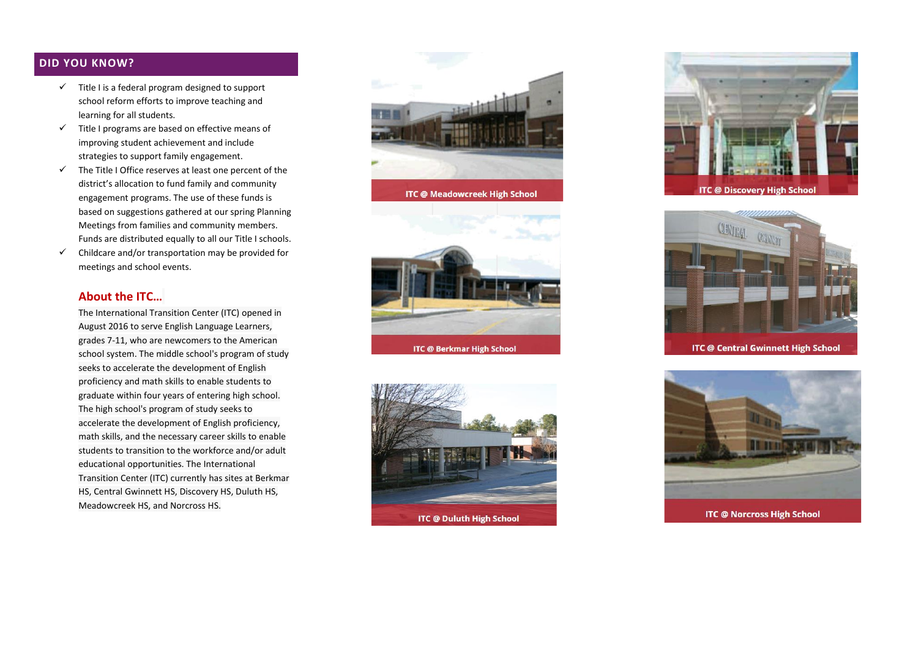## **DID YOU KNOW?**

- $\checkmark$  Title I is a federal program designed to support school reform efforts to improve teaching and learning for all students.
- $\checkmark$  Title I programs are based on effective means of improving student achievement and include strategies to support family engagement.
- $\checkmark$  The Title I Office reserves at least one percent of the district's allocation to fund family and community engagement programs. The use of these funds is based on suggestions gathered at our spring Planning Meetings from families and community members. Funds are distributed equally to all our Title I schools.
- $\checkmark$  Childcare and/or transportation may be provided for meetings and school events.

# **About the ITC…**

The International Transition Center (ITC) opened in August 2016 to serve English Language Learners, grades 7-11, who are newcomers to the American school system. The middle school's program of study seeks to accelerate the development of English proficiency and math skills to enable students to graduate within four years of entering high school. The high school's program of study seeks to accelerate the development of English proficiency, math skills, and the necessary career skills to enable students to transition to the workforce and/or adult educational opportunities. The International Transition Center (ITC) currently has sites at Berkmar HS, Central Gwinnett HS, Discovery HS, Duluth HS, Meadowcreek HS, and Norcross HS.









**ITC @ Central Gwinnett High School** 



**ITC @ Norcross High School**